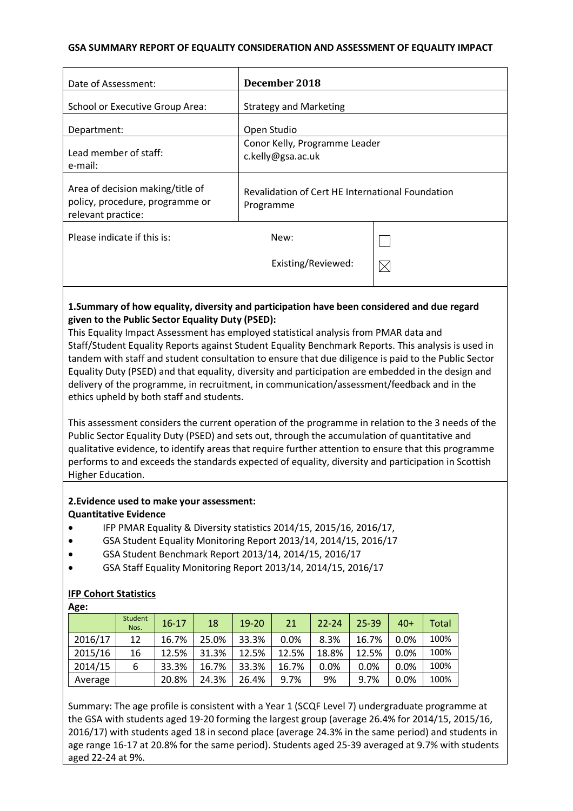#### **GSA SUMMARY REPORT OF EQUALITY CONSIDERATION AND ASSESSMENT OF EQUALITY IMPACT**

| Date of Assessment:                                                                          | December 2018                                                 |             |
|----------------------------------------------------------------------------------------------|---------------------------------------------------------------|-------------|
| School or Executive Group Area:                                                              | <b>Strategy and Marketing</b>                                 |             |
| Department:                                                                                  | Open Studio                                                   |             |
| Lead member of staff:<br>e-mail:                                                             | Conor Kelly, Programme Leader<br>c.kelly@gsa.ac.uk            |             |
| Area of decision making/title of<br>policy, procedure, programme or<br>relevant practice:    | Revalidation of Cert HE International Foundation<br>Programme |             |
| Please indicate if this is:                                                                  | New:                                                          |             |
|                                                                                              | Existing/Reviewed:                                            | $\boxtimes$ |
| 1.5 Cummany of how oquality, diversity and participation have been considered and due regard |                                                               |             |

## **1.Summary of how equality, diversity and participation have been considered and due regard given to the Public Sector Equality Duty (PSED):**

This Equality Impact Assessment has employed statistical analysis from PMAR data and Staff/Student Equality Reports against Student Equality Benchmark Reports. This analysis is used in tandem with staff and student consultation to ensure that due diligence is paid to the Public Sector Equality Duty (PSED) and that equality, diversity and participation are embedded in the design and delivery of the programme, in recruitment, in communication/assessment/feedback and in the ethics upheld by both staff and students.

This assessment considers the current operation of the programme in relation to the 3 needs of the Public Sector Equality Duty (PSED) and sets out, through the accumulation of quantitative and qualitative evidence, to identify areas that require further attention to ensure that this programme performs to and exceeds the standards expected of equality, diversity and participation in Scottish Higher Education.

#### **2.Evidence used to make your assessment: Quantitative Evidence**

- IFP PMAR Equality & Diversity statistics 2014/15, 2015/16, 2016/17,
- GSA Student Equality Monitoring Report 2013/14, 2014/15, 2016/17
- GSA Student Benchmark Report 2013/14, 2014/15, 2016/17
- GSA Staff Equality Monitoring Report 2013/14, 2014/15, 2016/17

## **IFP Cohort Statistics**

**Age:**

| $\cdots$ |                 |           |       |           |       |           |       |       |              |
|----------|-----------------|-----------|-------|-----------|-------|-----------|-------|-------|--------------|
|          | Student<br>Nos. | $16 - 17$ | 18    | $19 - 20$ | 21    | $22 - 24$ | 25-39 | $40+$ | <b>Total</b> |
| 2016/17  | 12              | 16.7%     | 25.0% | 33.3%     | 0.0%  | 8.3%      | 16.7% | 0.0%  | 100%         |
| 2015/16  | 16              | 12.5%     | 31.3% | 12.5%     | 12.5% | 18.8%     | 12.5% | 0.0%  | 100%         |
| 2014/15  | 6               | 33.3%     | 16.7% | 33.3%     | 16.7% | 0.0%      | 0.0%  | 0.0%  | 100%         |
| Average  |                 | 20.8%     | 24.3% | 26.4%     | 9.7%  | 9%        | 9.7%  | 0.0%  | 100%         |

Summary: The age profile is consistent with a Year 1 (SCQF Level 7) undergraduate programme at the GSA with students aged 19-20 forming the largest group (average 26.4% for 2014/15, 2015/16, 2016/17) with students aged 18 in second place (average 24.3% in the same period) and students in age range 16-17 at 20.8% for the same period). Students aged 25-39 averaged at 9.7% with students aged 22-24 at 9%.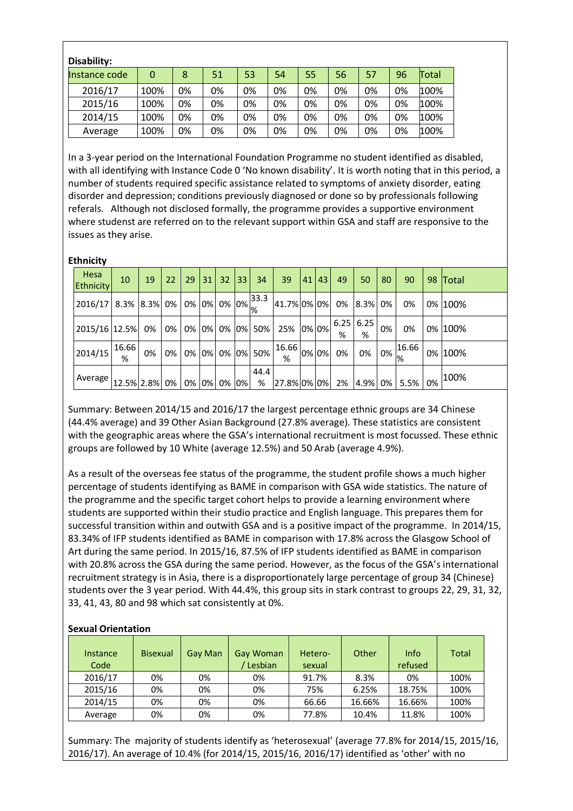| Disability:   |      |    |    |    |    |    |    |    |    |       |
|---------------|------|----|----|----|----|----|----|----|----|-------|
| Instance code | 0    | 8  | 51 | 53 | 54 | 55 | 56 | 57 | 96 | Total |
| 2016/17       | 100% | 0% | 0% | 0% | 0% | 0% | 0% | 0% | 0% | 100%  |
| 2015/16       | 100% | 0% | 0% | 0% | 0% | 0% | 0% | 0% | 0% | 100%  |
| 2014/15       | 100% | 0% | 0% | 0% | 0% | 0% | 0% | 0% | 0% | 100%  |
| Average       | 100% | 0% | 0% | 0% | 0% | 0% | 0% | 0% | 0% | 100%  |

In a 3-year period on the International Foundation Programme no student identified as disabled, with all identifying with Instance Code 0 'No known disability'. It is worth noting that in this period, a number of students required specific assistance related to symptoms of anxiety disorder, eating disorder and depression; conditions previously diagnosed or done so by professionals following referals. Although not disclosed formally, the programme provides a supportive environment where studenst are referred on to the relevant support within GSA and staff are responsive to the issues as they arise.

#### **Ethnicity**

| Hesa<br>Ethnicity    | 10         | 19 | 22 | 29 | 31 | 32 | 33 | 34                | 39                            | 41 | 43 | 49 | 50               | 80                                                     | 90    | 98 | Total   |
|----------------------|------------|----|----|----|----|----|----|-------------------|-------------------------------|----|----|----|------------------|--------------------------------------------------------|-------|----|---------|
| 2016/17 8.3% 8.3% 0% |            |    |    |    |    |    |    | 10% 0% 0% 0% 33.3 | 41.7% 0% 0%                   |    |    | 0% | 8.3%             | 0%                                                     | 0%    |    | 0% 100% |
| 2015/16 12.5%        |            | 0% | 0% | 0% | 0% |    |    | 0% 0% 50%         | 25% 0% 0%                     |    |    | %  | $6.25$ 6.25<br>% | 0%                                                     | 0%    |    | 0% 100% |
| 2014/15              | 16.66<br>% | 0% | 0% | 0% | 0% |    |    | 0% 0% 50%         | $\sim$ $ 16.66 0\% 0\% $<br>% |    |    | 0% | 0%               | $\begin{array}{c c} \hline 0\% & \hline \end{array}$ % | 16.66 |    | 0% 100% |
| Average              | 12.5% 2.8% |    | 0% | 0% | 0% | 0% | 0% | 44.4<br>%         | 27.8% 0% 0%                   |    |    | 2% | 4.9%             | $0\%$                                                  | 5.5%  | 0% | 100%    |

Summary: Between 2014/15 and 2016/17 the largest percentage ethnic groups are 34 Chinese (44.4% average) and 39 Other Asian Background (27.8% average). These statistics are consistent with the geographic areas where the GSA's international recruitment is most focussed. These ethnic groups are followed by 10 White (average 12.5%) and 50 Arab (average 4.9%).

As a result of the overseas fee status of the programme, the student profile shows a much higher percentage of students identifying as BAME in comparison with GSA wide statistics. The nature of the programme and the specific target cohort helps to provide a learning environment where students are supported within their studio practice and English language. This prepares them for successful transition within and outwith GSA and is a positive impact of the programme. In 2014/15, 83.34% of IFP students identified as BAME in comparison with 17.8% across the Glasgow School of Art during the same period. In 2015/16, 87.5% of IFP students identified as BAME in comparison with 20.8% across the GSA during the same period. However, as the focus of the GSA's international recruitment strategy is in Asia, there is a disproportionately large percentage of group 34 (Chinese) students over the 3 year period. With 44.4%, this group sits in stark contrast to groups 22, 29, 31, 32, 33, 41, 43, 80 and 98 which sat consistently at 0%.

## **Sexual Orientation**

| Instance<br>Code | <b>Bisexual</b> | Gay Man | Gay Woman<br>Lesbian | Hetero-<br>sexual | Other  | Info<br>refused | <b>Total</b> |
|------------------|-----------------|---------|----------------------|-------------------|--------|-----------------|--------------|
| 2016/17          | 0%              | 0%      | 0%                   | 91.7%             | 8.3%   | 0%              | 100%         |
| 2015/16          | 0%              | 0%      | 0%                   | 75%               | 6.25%  | 18.75%          | 100%         |
| 2014/15          | 0%              | 0%      | 0%                   | 66.66             | 16.66% | 16.66%          | 100%         |
| Average          | 0%              | 0%      | 0%                   | 77.8%             | 10.4%  | 11.8%           | 100%         |

Summary: The majority of students identify as 'heterosexual' (average 77.8% for 2014/15, 2015/16, 2016/17). An average of 10.4% (for 2014/15, 2015/16, 2016/17) identified as 'other' with no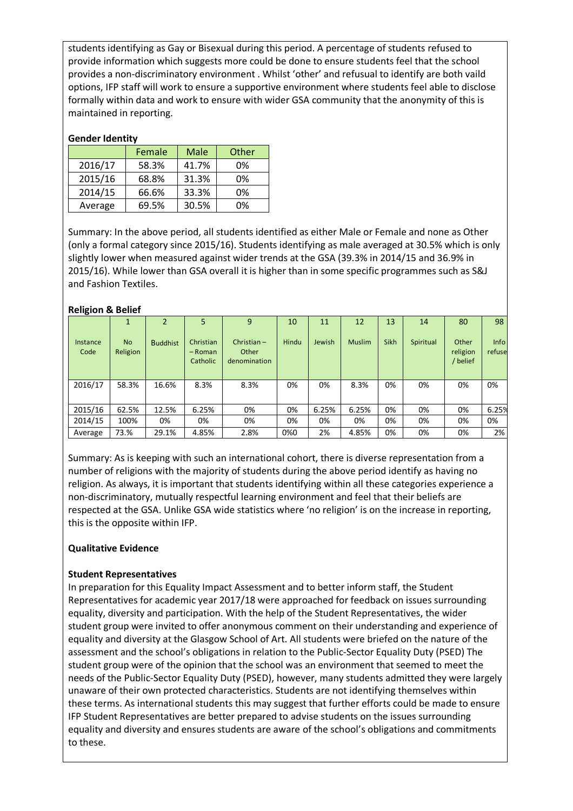students identifying as Gay or Bisexual during this period. A percentage of students refused to provide information which suggests more could be done to ensure students feel that the school provides a non-discriminatory environment . Whilst 'other' and refusual to identify are both vaild options, IFP staff will work to ensure a supportive environment where students feel able to disclose formally within data and work to ensure with wider GSA community that the anonymity of this is maintained in reporting.

#### **Gender Identity**

|         | Female | Male  | Other |
|---------|--------|-------|-------|
| 2016/17 | 58.3%  | 41.7% | 0%    |
| 2015/16 | 68.8%  | 31.3% | 0%    |
| 2014/15 | 66.6%  | 33.3% | 0%    |
| Average | 69.5%  | 30.5% | 0%    |

Summary: In the above period, all students identified as either Male or Female and none as Other (only a formal category since 2015/16). Students identifying as male averaged at 30.5% which is only slightly lower when measured against wider trends at the GSA (39.3% in 2014/15 and 36.9% in 2015/16). While lower than GSA overall it is higher than in some specific programmes such as S&J and Fashion Textiles.

#### **Religion & Belief**

|                  |                       | 2               |                                  | 9                                      | 10    | 11     | 12            | 13          | 14        | 80                           | 98                    |
|------------------|-----------------------|-----------------|----------------------------------|----------------------------------------|-------|--------|---------------|-------------|-----------|------------------------------|-----------------------|
| Instance<br>Code | <b>No</b><br>Religion | <b>Buddhist</b> | Christian<br>- Roman<br>Catholic | Christian $-$<br>Other<br>denomination | Hindu | Jewish | <b>Muslim</b> | <b>Sikh</b> | Spiritual | Other<br>religion<br>/belief | <b>Info</b><br>refuse |
| 2016/17          | 58.3%                 | 16.6%           | 8.3%                             | 8.3%                                   | 0%    | 0%     | 8.3%          | 0%          | 0%        | 0%                           | 0%                    |
|                  |                       |                 |                                  |                                        |       |        |               |             |           |                              |                       |
| 2015/16          | 62.5%                 | 12.5%           | 6.25%                            | 0%                                     | 0%    | 6.25%  | 6.25%         | 0%          | 0%        | 0%                           | 6.25%                 |
| 2014/15          | 100%                  | 0%              | 0%                               | 0%                                     | 0%    | 0%     | 0%            | 0%          | 0%        | 0%                           | 0%                    |
| Average          | 73.%                  | 29.1%           | 4.85%                            | 2.8%                                   | 0%0   | 2%     | 4.85%         | 0%          | 0%        | 0%                           | 2%                    |

Summary: As is keeping with such an international cohort, there is diverse representation from a number of religions with the majority of students during the above period identify as having no religion. As always, it is important that students identifying within all these categories experience a non-discriminatory, mutually respectful learning environment and feel that their beliefs are respected at the GSA. Unlike GSA wide statistics where 'no religion' is on the increase in reporting, this is the opposite within IFP.

## **Qualitative Evidence**

#### **Student Representatives**

In preparation for this Equality Impact Assessment and to better inform staff, the Student Representatives for academic year 2017/18 were approached for feedback on issues surrounding equality, diversity and participation. With the help of the Student Representatives, the wider student group were invited to offer anonymous comment on their understanding and experience of equality and diversity at the Glasgow School of Art. All students were briefed on the nature of the assessment and the school's obligations in relation to the Public-Sector Equality Duty (PSED) The student group were of the opinion that the school was an environment that seemed to meet the needs of the Public-Sector Equality Duty (PSED), however, many students admitted they were largely unaware of their own protected characteristics. Students are not identifying themselves within these terms. As international students this may suggest that further efforts could be made to ensure IFP Student Representatives are better prepared to advise students on the issues surrounding equality and diversity and ensures students are aware of the school's obligations and commitments to these.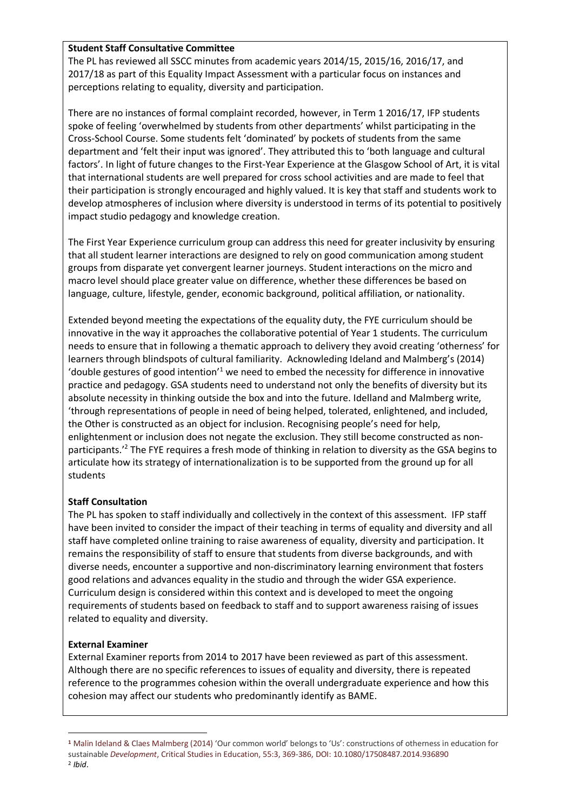#### **Student Staff Consultative Committee**

The PL has reviewed all SSCC minutes from academic years 2014/15, 2015/16, 2016/17, and 2017/18 as part of this Equality Impact Assessment with a particular focus on instances and perceptions relating to equality, diversity and participation.

There are no instances of formal complaint recorded, however, in Term 1 2016/17, IFP students spoke of feeling 'overwhelmed by students from other departments' whilst participating in the Cross-School Course. Some students felt 'dominated' by pockets of students from the same department and 'felt their input was ignored'. They attributed this to 'both language and cultural factors'. In light of future changes to the First-Year Experience at the Glasgow School of Art, it is vital that international students are well prepared for cross school activities and are made to feel that their participation is strongly encouraged and highly valued. It is key that staff and students work to develop atmospheres of inclusion where diversity is understood in terms of its potential to positively impact studio pedagogy and knowledge creation.

The First Year Experience curriculum group can address this need for greater inclusivity by ensuring that all student learner interactions are designed to rely on good communication among student groups from disparate yet convergent learner journeys. Student interactions on the micro and macro level should place greater value on difference, whether these differences be based on language, culture, lifestyle, gender, economic background, political affiliation, or nationality.

Extended beyond meeting the expectations of the equality duty, the FYE curriculum should be innovative in the way it approaches the collaborative potential of Year 1 students. The curriculum needs to ensure that in following a thematic approach to delivery they avoid creating 'otherness' for learners through blindspots of cultural familiarity. Acknowleding Ideland and Malmberg's (2014) 'double gestures of good intention'1 we need to embed the necessity for difference in innovative practice and pedagogy. GSA students need to understand not only the benefits of diversity but its absolute necessity in thinking outside the box and into the future. Idelland and Malmberg write, 'through representations of people in need of being helped, tolerated, enlightened, and included, the Other is constructed as an object for inclusion. Recognising people's need for help, enlightenment or inclusion does not negate the exclusion. They still become constructed as nonparticipants.<sup>2</sup> The FYE requires a fresh mode of thinking in relation to diversity as the GSA begins to articulate how its strategy of internationalization is to be supported from the ground up for all students

## **Staff Consultation**

The PL has spoken to staff individually and collectively in the context of this assessment. IFP staff have been invited to consider the impact of their teaching in terms of equality and diversity and all staff have completed online training to raise awareness of equality, diversity and participation. It remains the responsibility of staff to ensure that students from diverse backgrounds, and with diverse needs, encounter a supportive and non-discriminatory learning environment that fosters good relations and advances equality in the studio and through the wider GSA experience. Curriculum design is considered within this context and is developed to meet the ongoing requirements of students based on feedback to staff and to support awareness raising of issues related to equality and diversity.

## **External Examiner**

External Examiner reports from 2014 to 2017 have been reviewed as part of this assessment. Although there are no specific references to issues of equality and diversity, there is repeated reference to the programmes cohesion within the overall undergraduate experience and how this cohesion may affect our students who predominantly identify as BAME.

l

**<sup>1</sup>** Malin Ideland & Claes Malmberg (2014) 'Our common world' belongs to 'Us': constructions of otherness in education for sustainable *Development*, Critical Studies in Education, 55:3, 369-386, DOI: 10.1080/17508487.2014.936890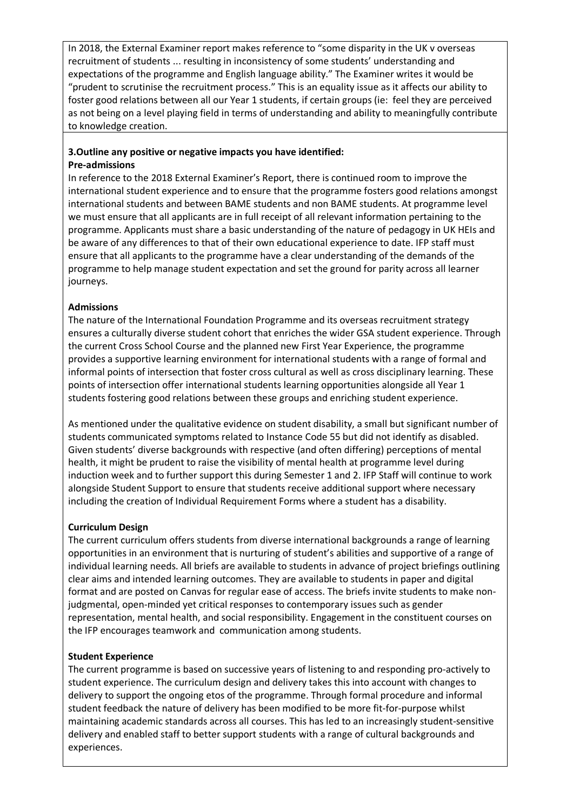In 2018, the External Examiner report makes reference to "some disparity in the UK v overseas recruitment of students ... resulting in inconsistency of some students' understanding and expectations of the programme and English language ability." The Examiner writes it would be "prudent to scrutinise the recruitment process." This is an equality issue as it affects our ability to foster good relations between all our Year 1 students, if certain groups (ie: feel they are perceived as not being on a level playing field in terms of understanding and ability to meaningfully contribute to knowledge creation.

# **3.Outline any positive or negative impacts you have identified:**

#### **Pre-admissions**

In reference to the 2018 External Examiner's Report, there is continued room to improve the international student experience and to ensure that the programme fosters good relations amongst international students and between BAME students and non BAME students. At programme level we must ensure that all applicants are in full receipt of all relevant information pertaining to the programme. Applicants must share a basic understanding of the nature of pedagogy in UK HEIs and be aware of any differences to that of their own educational experience to date. IFP staff must ensure that all applicants to the programme have a clear understanding of the demands of the programme to help manage student expectation and set the ground for parity across all learner journeys.

#### **Admissions**

The nature of the International Foundation Programme and its overseas recruitment strategy ensures a culturally diverse student cohort that enriches the wider GSA student experience. Through the current Cross School Course and the planned new First Year Experience, the programme provides a supportive learning environment for international students with a range of formal and informal points of intersection that foster cross cultural as well as cross disciplinary learning. These points of intersection offer international students learning opportunities alongside all Year 1 students fostering good relations between these groups and enriching student experience.

As mentioned under the qualitative evidence on student disability, a small but significant number of students communicated symptoms related to Instance Code 55 but did not identify as disabled. Given students' diverse backgrounds with respective (and often differing) perceptions of mental health, it might be prudent to raise the visibility of mental health at programme level during induction week and to further support this during Semester 1 and 2. IFP Staff will continue to work alongside Student Support to ensure that students receive additional support where necessary including the creation of Individual Requirement Forms where a student has a disability.

#### **Curriculum Design**

The current curriculum offers students from diverse international backgrounds a range of learning opportunities in an environment that is nurturing of student's abilities and supportive of a range of individual learning needs. All briefs are available to students in advance of project briefings outlining clear aims and intended learning outcomes. They are available to students in paper and digital format and are posted on Canvas for regular ease of access. The briefs invite students to make nonjudgmental, open-minded yet critical responses to contemporary issues such as gender representation, mental health, and social responsibility. Engagement in the constituent courses on the IFP encourages teamwork and communication among students.

## **Student Experience**

The current programme is based on successive years of listening to and responding pro-actively to student experience. The curriculum design and delivery takes this into account with changes to delivery to support the ongoing etos of the programme. Through formal procedure and informal student feedback the nature of delivery has been modified to be more fit-for-purpose whilst maintaining academic standards across all courses. This has led to an increasingly student-sensitive delivery and enabled staff to better support students with a range of cultural backgrounds and experiences.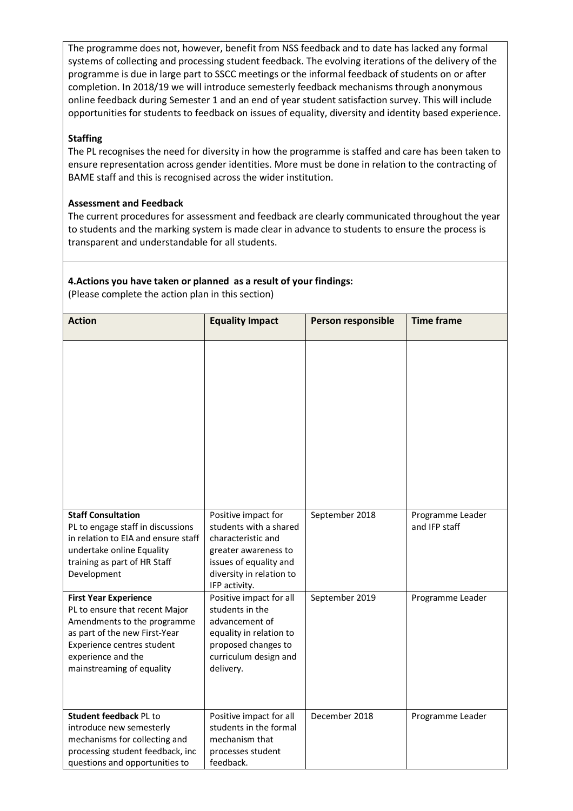The programme does not, however, benefit from NSS feedback and to date has lacked any formal systems of collecting and processing student feedback. The evolving iterations of the delivery of the programme is due in large part to SSCC meetings or the informal feedback of students on or after completion. In 2018/19 we will introduce semesterly feedback mechanisms through anonymous online feedback during Semester 1 and an end of year student satisfaction survey. This will include opportunities for students to feedback on issues of equality, diversity and identity based experience.

## **Staffing**

The PL recognises the need for diversity in how the programme is staffed and care has been taken to ensure representation across gender identities. More must be done in relation to the contracting of BAME staff and this is recognised across the wider institution.

#### **Assessment and Feedback**

The current procedures for assessment and feedback are clearly communicated throughout the year to students and the marking system is made clear in advance to students to ensure the process is transparent and understandable for all students.

## **4.Actions you have taken or planned as a result of your findings:**

(Please complete the action plan in this section)

| <b>Action</b>                                                                                                                                                                                                   | <b>Equality Impact</b>                                                                                                                                             | Person responsible | <b>Time frame</b>                 |
|-----------------------------------------------------------------------------------------------------------------------------------------------------------------------------------------------------------------|--------------------------------------------------------------------------------------------------------------------------------------------------------------------|--------------------|-----------------------------------|
|                                                                                                                                                                                                                 |                                                                                                                                                                    |                    |                                   |
| <b>Staff Consultation</b><br>PL to engage staff in discussions<br>in relation to EIA and ensure staff<br>undertake online Equality<br>training as part of HR Staff<br>Development                               | Positive impact for<br>students with a shared<br>characteristic and<br>greater awareness to<br>issues of equality and<br>diversity in relation to<br>IFP activity. | September 2018     | Programme Leader<br>and IFP staff |
| <b>First Year Experience</b><br>PL to ensure that recent Major<br>Amendments to the programme<br>as part of the new First-Year<br>Experience centres student<br>experience and the<br>mainstreaming of equality | Positive impact for all<br>students in the<br>advancement of<br>equality in relation to<br>proposed changes to<br>curriculum design and<br>delivery.               | September 2019     | Programme Leader                  |
| Student feedback PL to<br>introduce new semesterly<br>mechanisms for collecting and<br>processing student feedback, inc<br>questions and opportunities to                                                       | Positive impact for all<br>students in the formal<br>mechanism that<br>processes student<br>feedback.                                                              | December 2018      | Programme Leader                  |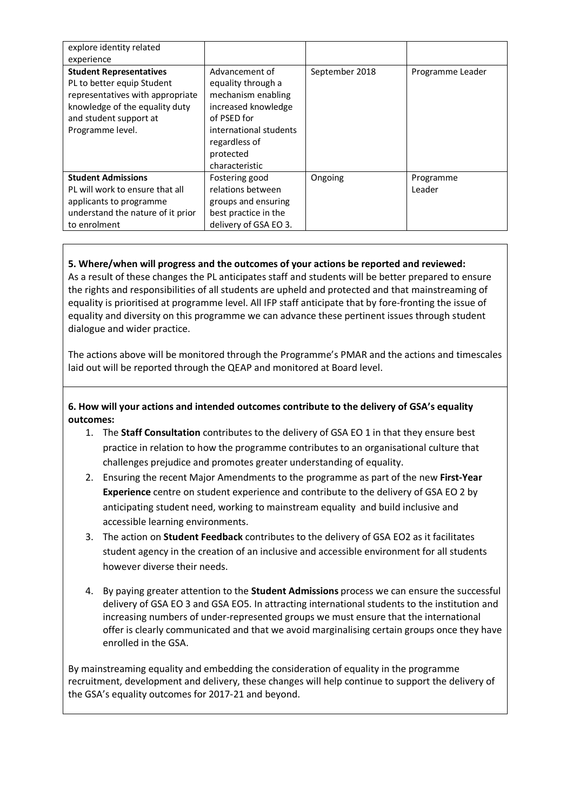| explore identity related                                                                                                                                                         |                                                                                                                                                                            |                |                     |
|----------------------------------------------------------------------------------------------------------------------------------------------------------------------------------|----------------------------------------------------------------------------------------------------------------------------------------------------------------------------|----------------|---------------------|
| experience                                                                                                                                                                       |                                                                                                                                                                            |                |                     |
| <b>Student Representatives</b><br>PL to better equip Student<br>representatives with appropriate<br>knowledge of the equality duty<br>and student support at<br>Programme level. | Advancement of<br>equality through a<br>mechanism enabling<br>increased knowledge<br>of PSED for<br>international students<br>regardless of<br>protected<br>characteristic | September 2018 | Programme Leader    |
| <b>Student Admissions</b><br>PL will work to ensure that all<br>applicants to programme<br>understand the nature of it prior<br>to enrolment                                     | Fostering good<br>relations between<br>groups and ensuring<br>best practice in the<br>delivery of GSA EO 3.                                                                | Ongoing        | Programme<br>Leader |

## **5. Where/when will progress and the outcomes of your actions be reported and reviewed:**

As a result of these changes the PL anticipates staff and students will be better prepared to ensure the rights and responsibilities of all students are upheld and protected and that mainstreaming of equality is prioritised at programme level. All IFP staff anticipate that by fore-fronting the issue of equality and diversity on this programme we can advance these pertinent issues through student dialogue and wider practice.

The actions above will be monitored through the Programme's PMAR and the actions and timescales laid out will be reported through the QEAP and monitored at Board level.

## **6. How will your actions and intended outcomes contribute to the delivery of GSA's equality outcomes:**

- 1. The **Staff Consultation** contributes to the delivery of GSA EO 1 in that they ensure best practice in relation to how the programme contributes to an organisational culture that challenges prejudice and promotes greater understanding of equality.
- 2. Ensuring the recent Major Amendments to the programme as part of the new **First-Year Experience** centre on student experience and contribute to the delivery of GSA EO 2 by anticipating student need, working to mainstream equality and build inclusive and accessible learning environments.
- 3. The action on **Student Feedback** contributes to the delivery of GSA EO2 as it facilitates student agency in the creation of an inclusive and accessible environment for all students however diverse their needs.
- 4. By paying greater attention to the **Student Admissions** process we can ensure the successful delivery of GSA EO 3 and GSA EO5. In attracting international students to the institution and increasing numbers of under-represented groups we must ensure that the international offer is clearly communicated and that we avoid marginalising certain groups once they have enrolled in the GSA.

By mainstreaming equality and embedding the consideration of equality in the programme recruitment, development and delivery, these changes will help continue to support the delivery of the GSA's equality outcomes for 2017-21 and beyond.